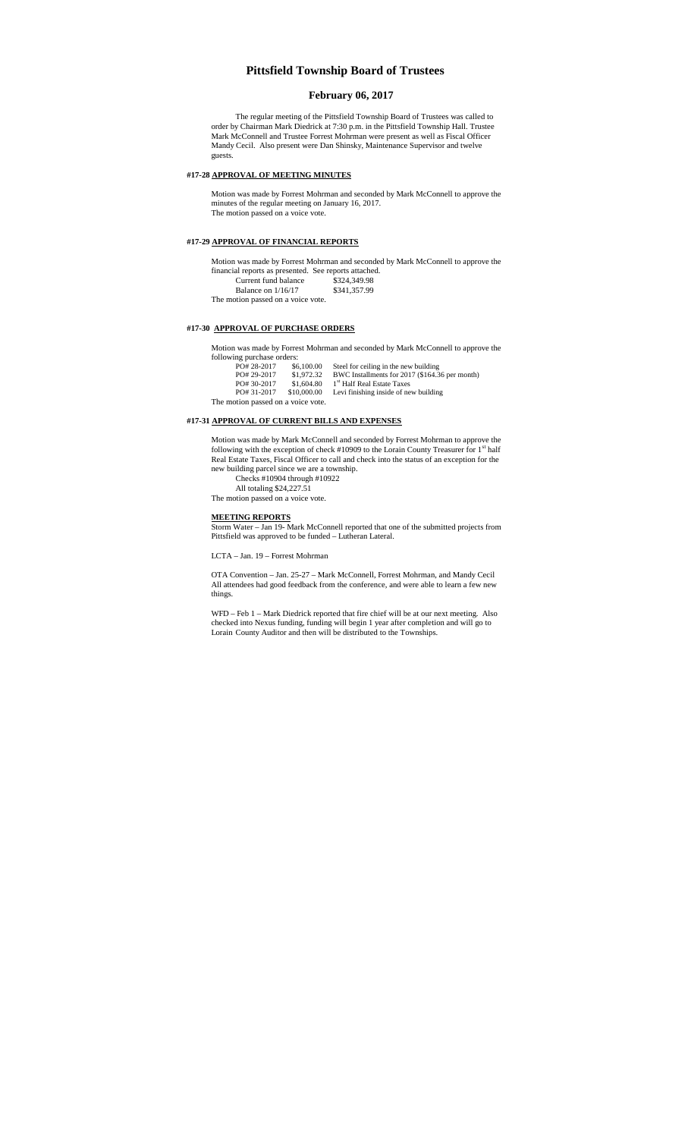# **Pittsfield Township Board of Trustees**

## **February 06, 2017**

The regular meeting of the Pittsfield Township Board of Trustees was called to order by Chairman Mark Diedrick at 7:30 p.m. in the Pittsfield Township Hall. Trustee Mark McConnell and Trustee Forrest Mohrman were present as well as Fiscal Officer Mandy Cecil. Also present were Dan Shinsky, Maintenance Supervisor and twelve guests.

#### **#17-28 APPROVAL OF MEETING MINUTES**

Motion was made by Forrest Mohrman and seconded by Mark McConnell to approve the minutes of the regular meeting on January 16, 2017. The motion passed on a voice vote.

#### **#17-29 APPROVAL OF FINANCIAL REPORTS**

Motion was made by Forrest Mohrman and seconded by Mark McConnell to approve the financial reports as presented. See reports attached. Current fund balance Example 3324,349.98<br>
Balance on 1/16/17 \$341,357.99

The motion passed on a voice vote.

## **#17-30 APPROVAL OF PURCHASE ORDERS**

Motion was made by Forrest Mohrman and seconded by Mark McConnell to approve the following purchase orders:

PO# 28-2017 \$6,100.00 Steel for ceiling in the new building<br>PO# 29-2017 \$1,972.32 BWC Installments for 2017 (\$164.36 per month)<br>PO# 30-2017 \$1,604.80 1<sup>st</sup> Half Real Estate Taxes PO# 30-2017 \$1,604.80 1 Hau Kear Estate 1 aACS<br>PO# 31-2017 \$10,000.00 Levi finishing inside of new building The motion passed on a voice vote.

# **#17-31 APPROVAL OF CURRENT BILLS AND EXPENSES**

Motion was made by Mark McConnell and seconded by Forrest Mohrman to approve the following with the exception of check #10909 to the Lorain County Treasurer for  $1<sup>st</sup>$  half Real Estate Taxes, Fiscal Officer to call and check into the status of an exception for the new building parcel since we are a township.

Checks #10904 through #10922

All totaling \$24,227.51

The motion passed on a voice vote.

#### **MEETING REPORTS**

Storm Water – Jan 19- Mark McConnell reported that one of the submitted projects from Pittsfield was approved to be funded – Lutheran Lateral.

LCTA – Jan. 19 – Forrest Mohrman

OTA Convention – Jan. 25-27 – Mark McConnell, Forrest Mohrman, and Mandy Cecil All attendees had good feedback from the conference, and were able to learn a few new things.

WFD – Feb 1 – Mark Diedrick reported that fire chief will be at our next meeting. Also checked into Nexus funding, funding will begin 1 year after completion and will go to Lorain County Auditor and then will be distributed to the Townships.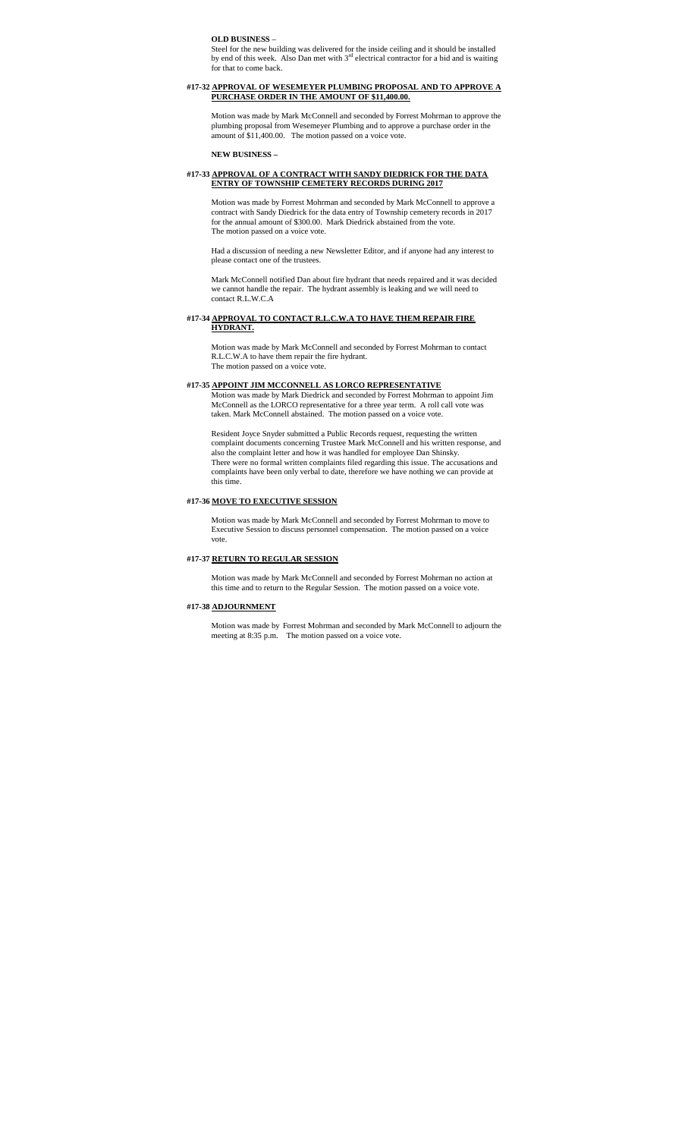**OLD BUSINESS** –

Steel for the new building was delivered for the inside ceiling and it should be installed<br>by end of this week. Also Dan met with 3<sup>rd</sup> electrical contractor for a bid and is waiting for that to come back

#### **#17-32 APPROVAL OF WESEMEYER PLUMBING PROPOSAL AND TO APPROVE A PURCHASE ORDER IN THE AMOUNT OF \$11,400.00.**

Motion was made by Mark McConnell and seconded by Forrest Mohrman to approve the plumbing proposal from Wesemeyer Plumbing and to approve a purchase order in the amount of \$11,400.00. The motion passed on a voice vote.

## **NEW BUSINESS –**

#### **#17-33 APPROVAL OF A CONTRACT WITH SANDY DIEDRICK FOR THE DATA ENTRY OF TOWNSHIP CEMETERY RECORDS DURING 2017**

Motion was made by Forrest Mohrman and seconded by Mark McConnell to approve a contract with Sandy Diedrick for the data entry of Township cemetery records in 2017 for the annual amount of \$300.00. Mark Diedrick abstained from the vote. The motion passed on a voice vote.

Had a discussion of needing a new Newsletter Editor, and if anyone had any interest to please contact one of the trustees.

Mark McConnell notified Dan about fire hydrant that needs repaired and it was decided we cannot handle the repair. The hydrant assembly is leaking and we will need to contact R.L.W.C.A

## **#17-34 APPROVAL TO CONTACT R.L.C.W.A TO HAVE THEM REPAIR FIRE HYDRANT.**

Motion was made by Mark McConnell and seconded by Forrest Mohrman to contact R.L.C.W.A to have them repair the fire hydrant. The motion passed on a voice vote.

## **#17-35 APPOINT JIM MCCONNELL AS LORCO REPRESENTATIVE**

Motion was made by Mark Diedrick and seconded by Forrest Mohrman to appoint Jim McConnell as the LORCO representative for a three year term. A roll call vote was taken. Mark McConnell abstained. The motion passed on a voice vote.

Resident Joyce Snyder submitted a Public Records request, requesting the written complaint documents concerning Trustee Mark McConnell and his written response, and also the complaint letter and how it was handled for employee Dan Shinsky. There were no formal written complaints filed regarding this issue. The accusations and complaints have been only verbal to date, therefore we have nothing we can provide at this time.

## **#17-36 MOVE TO EXECUTIVE SESSION**

Motion was made by Mark McConnell and seconded by Forrest Mohrman to move to Executive Session to discuss personnel compensation. The motion passed on a voice vote.

#### **#17-37 RETURN TO REGULAR SESSION**

Motion was made by Mark McConnell and seconded by Forrest Mohrman no action at this time and to return to the Regular Session. The motion passed on a voice vote.

#### **#17-38 ADJOURNMENT**

Motion was made by Forrest Mohrman and seconded by Mark McConnell to adjourn the meeting at 8:35 p.m. The motion passed on a voice vote.